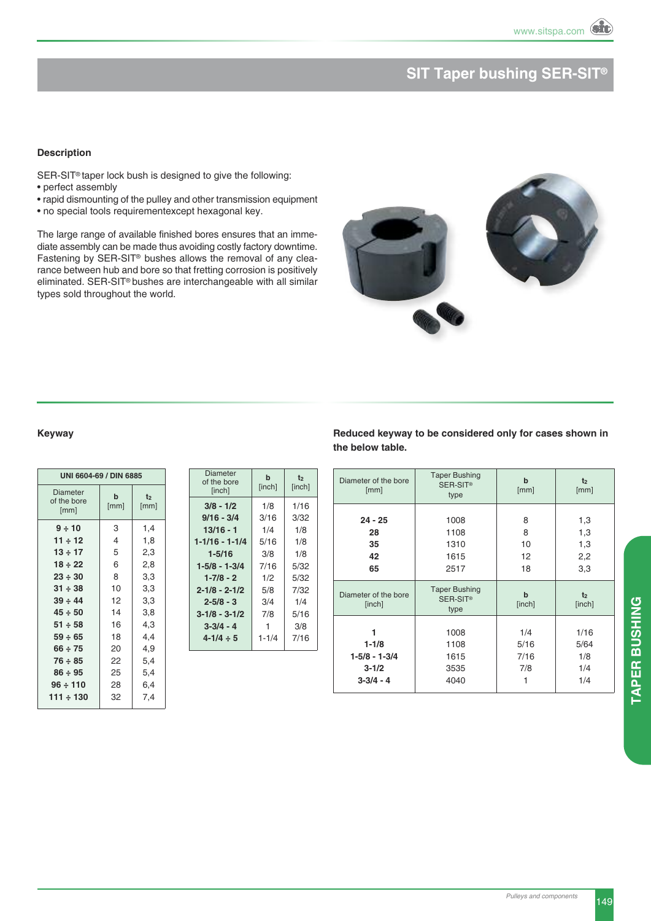# **SIT Taper bushing SER-SIT®**

### **Description**

SER-SIT<sup>®</sup> taper lock bush is designed to give the following:

- perfect assembly
- rapid dismounting of the pulley and other transmission equipment
- no special tools requirementexcept hexagonal key.

The large range of available finished bores ensures that an immediate assembly can be made thus avoiding costly factory downtime. Fastening by SER-SIT® bushes allows the removal of any clearance between hub and bore so that fretting corrosion is positively eliminated. SER-SIT® bushes are interchangeable with all similar types sold throughout the world.



### **Keyway**

| UNI 6604-69 / DIN 6885                 |                     |            |  |  |  |  |
|----------------------------------------|---------------------|------------|--|--|--|--|
| <b>Diameter</b><br>of the bore<br>[mm] | $\mathbf b$<br>[mm] | t2<br>[mm] |  |  |  |  |
| 9 ÷ 10                                 | 3                   | 1,4        |  |  |  |  |
| $11 \div 12$                           | 4                   | 1,8        |  |  |  |  |
| $13 \div 17$                           | 5                   | 2,3        |  |  |  |  |
| $18 \div 22$                           | 6                   | 2,8        |  |  |  |  |
| $23 \div 30$                           | 8                   | 3,3        |  |  |  |  |
| $31 \div 38$                           | 10                  | 3,3        |  |  |  |  |
| $39 \div 44$                           | 12                  | 3,3        |  |  |  |  |
| $45 \div 50$                           | 14                  | 3,8        |  |  |  |  |
| $51 \div 58$                           | 16                  | 4,3        |  |  |  |  |
| $59 \div 65$                           | 18                  | 4,4        |  |  |  |  |
| $66 \div 75$                           | 20                  | 4,9        |  |  |  |  |
| $76 \div 85$                           | 22                  | 5,4        |  |  |  |  |
| $86 \div 95$                           | 25                  | 5,4        |  |  |  |  |
| 96 ÷ 110                               | 28                  | 6,4        |  |  |  |  |
| 111 ÷ 130                              | 32                  | 7,4        |  |  |  |  |
|                                        |                     |            |  |  |  |  |

| Diameter<br>of the bore<br>[inch] | $\mathbf b$<br>[inch] | t2<br>[inch] |
|-----------------------------------|-----------------------|--------------|
| $3/8 - 1/2$                       | 1/8                   | 1/16         |
| 9/16 - 3/4                        | 3/16                  | 3/32         |
| 13/16 - 1                         | 1/4                   | 1/8          |
| 1-1/16 - 1-1/4                    | 5/16                  | 1/8          |
| $1 - 5/16$                        | 3/8                   | 1/8          |
| 1-5/8 - 1-3/4                     | 7/16                  | 5/32         |
| $1 - 7/8 - 2$                     | 1/2                   | 5/32         |
| $2 - 1/8 - 2 - 1/2$               | 5/8                   | 7/32         |
| $2 - 5/8 - 3$                     | 3/4                   | 1/4          |
| $3 - 1/8 - 3 - 1/2$               | 7/8                   | 5/16         |
| $3 - 3/4 - 4$                     | 1                     | 3/8          |
| $4 - 1/4 \div 5$                  | $1 - 1/4$             | 7/16         |
|                                   |                       |              |

**Reduced keyway to be considered only for cases shown in the below table.**

| Diameter of the bore<br>[mm]                                    | <b>Taper Bushing</b><br>SER-SIT <sup>®</sup><br>type | $\mathbf b$<br>[mm]             | t <sub>2</sub><br>[mm]            |  |
|-----------------------------------------------------------------|------------------------------------------------------|---------------------------------|-----------------------------------|--|
|                                                                 |                                                      |                                 |                                   |  |
| $24 - 25$<br>28                                                 | 1008<br>1108                                         | 8<br>8                          | 1,3<br>1,3                        |  |
| 35                                                              | 1310                                                 | 10                              | 1,3                               |  |
| 42<br>65                                                        | 1615<br>2517                                         | 12<br>18                        | 2,2<br>3,3                        |  |
| Diameter of the bore<br>[inch]                                  | <b>Taper Bushing</b><br>SER-SIT <sup>®</sup><br>type | $\mathbf b$<br>[inch]           | t <sub>2</sub><br>[inch]          |  |
| 1<br>$1 - 1/8$<br>$1-5/8 - 1-3/4$<br>$3 - 1/2$<br>$3 - 3/4 - 4$ | 1008<br>1108<br>1615<br>3535<br>4040                 | 1/4<br>5/16<br>7/16<br>7/8<br>1 | 1/16<br>5/64<br>1/8<br>1/4<br>1/4 |  |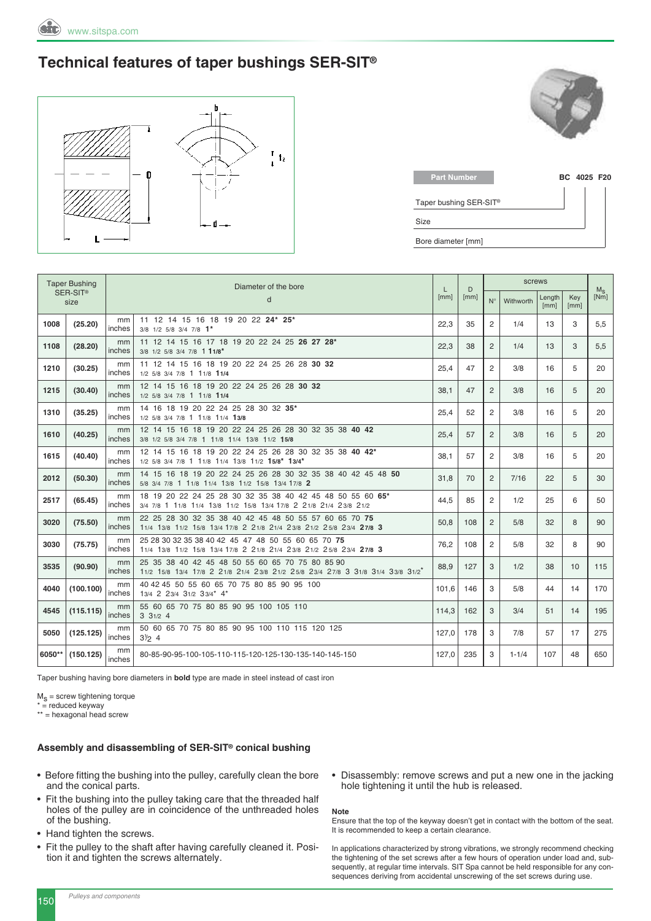### **Technical features of taper bushings SER-SIT®**



| <b>Part Number</b>     | BC 4025 F20 |  |
|------------------------|-------------|--|
| Taper bushing SER-SIT® |             |  |
| Size                   |             |  |
| Bore diameter [mm]     |             |  |

|        | <b>Taper Bushing</b><br>Diameter of the bore |              | L                                                                                                                                 | D            | screws |                |           |                | $M_{\rm s}$ |      |  |
|--------|----------------------------------------------|--------------|-----------------------------------------------------------------------------------------------------------------------------------|--------------|--------|----------------|-----------|----------------|-------------|------|--|
|        | SER-SIT <sup>®</sup><br>size                 |              | d                                                                                                                                 | [mm]<br>[mm] |        | $N^{\circ}$    | Withworth | Length<br>[mm] | Kev<br>[mm] | [Nm] |  |
| 1008   | (25.20)                                      | mm<br>inches | 11 12 14 15 16 18 19 20 22 24* 25*<br>3/8 1/2 5/8 3/4 7/8 1*                                                                      | 22.3         | 35     | $\overline{c}$ | 1/4       | 13             | 3           | 5,5  |  |
| 1108   | (28.20)                                      | mm<br>inches | 11 12 14 15 16 17 18 19 20 22 24 25 26 27 28*<br>3/8 1/2 5/8 3/4 7/8 1 11/8*                                                      | 22,3         | 38     | $\overline{2}$ | 1/4       | 13             | 3           | 5,5  |  |
| 1210   | (30.25)                                      | mm<br>inches | 11 12 14 15 16 18 19 20 22 24 25 26 28 30 32<br>1/2 5/8 3/4 7/8 1 11/8 11/4                                                       | 25,4         | 47     | 2              | 3/8       | 16             | 5           | 20   |  |
| 1215   | (30.40)                                      | mm<br>inches | 12 14 15 16 18 19 20 22 24 25 26 28 30 32<br>1/2 5/8 3/4 7/8 1 11/8 11/4                                                          | 38.1         | 47     | 2              | 3/8       | 16             | 5           | 20   |  |
| 1310   | (35.25)                                      | mm<br>inches | 14 16 18 19 20 22 24 25 28 30 32 35*<br>1/2 5/8 3/4 7/8 1 11/8 11/4 13/8                                                          | 25,4         | 52     | 2              | 3/8       | 16             | 5           | 20   |  |
| 1610   | (40.25)                                      | mm<br>inches | 12 14 15 16 18 19 20 22 24 25 26 28 30 32 35 38 40 42<br>3/8 1/2 5/8 3/4 7/8 1 11/8 11/4 13/8 11/2 15/8                           | 25,4         | 57     | $\overline{2}$ | 3/8       | 16             | 5           | 20   |  |
| 1615   | (40.40)                                      | mm<br>inches | 12 14 15 16 18 19 20 22 24 25 26 28 30 32 35 38 40 42*<br>1/2 5/8 3/4 7/8 1 11/8 11/4 13/8 11/2 15/8* 13/4*                       | 38.1         | 57     | 2              | 3/8       | 16             | 5           | 20   |  |
| 2012   | (50.30)                                      | mm<br>inches | 14 15 16 18 19 20 22 24 25 26 28 30 32 35 38 40 42 45 48 50<br>5/8 3/4 7/8 1 11/8 11/4 13/8 11/2 15/8 13/4 17/8 2                 | 31,8         | 70     | 2              | 7/16      | 22             | 5           | 30   |  |
| 2517   | (65.45)                                      | mm<br>inches | 18 19 20 22 24 25 28 30 32 35 38 40 42 45 48 50 55 60 65*<br>3/4 7/8 1 11/8 11/4 13/8 11/2 15/8 13/4 17/8 2 21/8 21/4 23/8 21/2   | 44,5         | 85     | 2              | 1/2       | 25             | 6           | 50   |  |
| 3020   | (75.50)                                      | mm<br>inches | 22 25 28 30 32 35 38 40 42 45 48 50 55 57 60 65 70 75<br>11/4 13/8 11/2 15/8 13/4 17/8 2 21/8 21/4 23/8 21/2 25/8 23/4 27/8 3     | 50,8         | 108    | $\overline{2}$ | 5/8       | 32             | 8           | 90   |  |
| 3030   | (75.75)                                      | mm<br>inches | 25 28 30 32 35 38 40 42 45 47 48 50 55 60 65 70 75<br>11/4 13/8 11/2 15/8 13/4 17/8 2 21/8 21/4 23/8 21/2 25/8 23/4 27/8 3        | 76,2         | 108    | 2              | 5/8       | 32             | 8           | 90   |  |
| 3535   | (90.90)                                      | mm<br>inches | 25 35 38 40 42 45 48 50 55 60 65 70 75 80 85 90<br>11/2 15/8 13/4 17/8 2 21/8 21/4 23/8 21/2 25/8 23/4 27/8 3 31/8 31/4 33/8 31/2 | 88,9         | 127    | 3              | 1/2       | 38             | 10          | 115  |  |
| 4040   | (100.100)                                    | mm<br>inches | 40 42 45 50 55 60 65 70 75 80 85 90 95 100<br>13/4 2 23/4 31/2 33/4* 4*                                                           | 101.6        | 146    | 3              | 5/8       | 44             | 14          | 170  |  |
| 4545   | (115.115)                                    | mm<br>inches | 55 60 65 70 75 80 85 90 95 100 105 110<br>331/24                                                                                  | 114,3        | 162    | 3              | 3/4       | 51             | 14          | 195  |  |
| 5050   | (125.125)                                    | mm<br>inches | 50 60 65 70 75 80 85 90 95 100 110 115 120 125<br>$3\frac{1}{2}$ 4                                                                |              | 178    | 3              | 7/8       | 57             | 17          | 275  |  |
| 6050** | (150.125)                                    | mm<br>inches | 80-85-90-95-100-105-110-115-120-125-130-135-140-145-150                                                                           | 127,0        | 235    | 3              | $1 - 1/4$ | 107            | 48          | 650  |  |

Taper bushing having bore diameters in **bold** type are made in steel instead of cast iron

 $M<sub>S</sub>$  = screw tightening torque

 $* =$  reduced keyway

\*\* = hexagonal head screw

#### **assembly and disassembling of SER-SIT® conical bushing**

- Before fitting the bushing into the pulley, carefully clean the bore and the conical parts.
- Fit the bushing into the pulley taking care that the threaded half holes of the pulley are in coincidence of the unthreaded holes of the bushing.
- Hand tighten the screws.
- Fit the pulley to the shaft after having carefully cleaned it. Position it and tighten the screws alternately.
- Disassembly: remove screws and put a new one in the jacking hole tightening it until the hub is released.

#### **Note**

Ensure that the top of the keyway doesn't get in contact with the bottom of the seat. it is recommended to keep a certain clearance.

in applications characterized by strong vibrations, we strongly recommend checking the tightening of the set screws after a few hours of operation under load and, subsequently, at regular time intervals. SiT Spa cannot be held responsible for any consequences deriving from accidental unscrewing of the set screws during use.